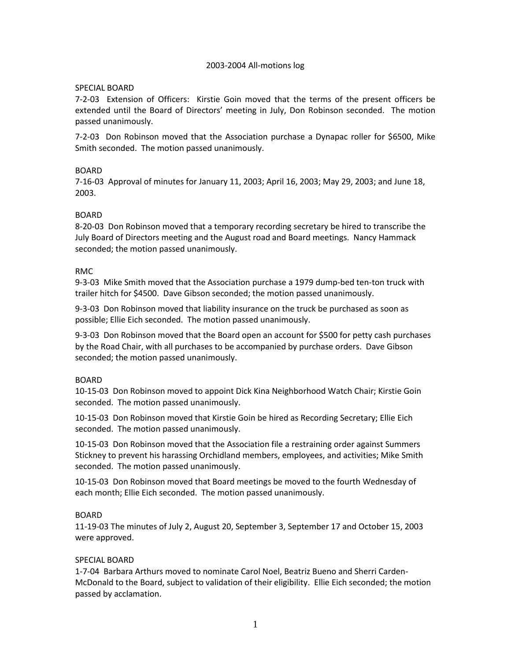#### 2003-2004 All-motions log

#### SPECIAL BOARD

7-2-03 Extension of Officers: Kirstie Goin moved that the terms of the present officers be extended until the Board of Directors' meeting in July, Don Robinson seconded. The motion passed unanimously.

7-2-03 Don Robinson moved that the Association purchase a Dynapac roller for \$6500, Mike Smith seconded. The motion passed unanimously.

#### BOARD

7-16-03 Approval of minutes for January 11, 2003; April 16, 2003; May 29, 2003; and June 18, 2003.

## BOARD

8-20-03 Don Robinson moved that a temporary recording secretary be hired to transcribe the July Board of Directors meeting and the August road and Board meetings. Nancy Hammack seconded; the motion passed unanimously.

#### RMC

9-3-03 Mike Smith moved that the Association purchase a 1979 dump-bed ten-ton truck with trailer hitch for \$4500. Dave Gibson seconded; the motion passed unanimously.

9-3-03 Don Robinson moved that liability insurance on the truck be purchased as soon as possible; Ellie Eich seconded. The motion passed unanimously.

9-3-03 Don Robinson moved that the Board open an account for \$500 for petty cash purchases by the Road Chair, with all purchases to be accompanied by purchase orders. Dave Gibson seconded; the motion passed unanimously.

#### BOARD

10-15-03 Don Robinson moved to appoint Dick Kina Neighborhood Watch Chair; Kirstie Goin seconded. The motion passed unanimously.

10-15-03 Don Robinson moved that Kirstie Goin be hired as Recording Secretary; Ellie Eich seconded. The motion passed unanimously.

10-15-03 Don Robinson moved that the Association file a restraining order against Summers Stickney to prevent his harassing Orchidland members, employees, and activities; Mike Smith seconded. The motion passed unanimously.

10-15-03 Don Robinson moved that Board meetings be moved to the fourth Wednesday of each month; Ellie Eich seconded. The motion passed unanimously.

#### **BOARD**

11-19-03 The minutes of July 2, August 20, September 3, September 17 and October 15, 2003 were approved.

#### SPECIAL BOARD

1-7-04 Barbara Arthurs moved to nominate Carol Noel, Beatriz Bueno and Sherri Carden-McDonald to the Board, subject to validation of their eligibility. Ellie Eich seconded; the motion passed by acclamation.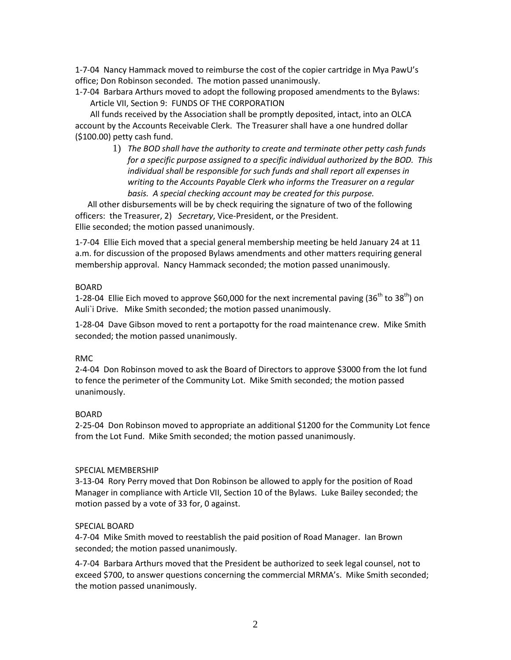1-7-04 Nancy Hammack moved to reimburse the cost of the copier cartridge in Mya PawU's office; Don Robinson seconded. The motion passed unanimously.

1-7-04 Barbara Arthurs moved to adopt the following proposed amendments to the Bylaws: Article VII, Section 9: FUNDS OF THE CORPORATION

All funds received by the Association shall be promptly deposited, intact, into an OLCA account by the Accounts Receivable Clerk. The Treasurer shall have a one hundred dollar (\$100.00) petty cash fund.

> 1) *The BOD shall have the authority to create and terminate other petty cash funds for a specific purpose assigned to a specific individual authorized by the BOD. This individual shall be responsible for such funds and shall report all expenses in writing to the Accounts Payable Clerk who informs the Treasurer on a regular basis. A special checking account may be created for this purpose.*

 All other disbursements will be by check requiring the signature of two of the following officers: the Treasurer, 2) *Secretary*, Vice-President, or the President. Ellie seconded; the motion passed unanimously.

1-7-04 Ellie Eich moved that a special general membership meeting be held January 24 at 11 a.m. for discussion of the proposed Bylaws amendments and other matters requiring general membership approval. Nancy Hammack seconded; the motion passed unanimously.

## BOARD

1-28-04 Ellie Eich moved to approve \$60,000 for the next incremental paving (36<sup>th</sup> to 38<sup>th</sup>) on Auli`i Drive. Mike Smith seconded; the motion passed unanimously.

1-28-04 Dave Gibson moved to rent a portapotty for the road maintenance crew. Mike Smith seconded; the motion passed unanimously.

## RMC

2-4-04 Don Robinson moved to ask the Board of Directors to approve \$3000 from the lot fund to fence the perimeter of the Community Lot. Mike Smith seconded; the motion passed unanimously.

## BOARD

2-25-04 Don Robinson moved to appropriate an additional \$1200 for the Community Lot fence from the Lot Fund. Mike Smith seconded; the motion passed unanimously.

## SPECIAL MEMBERSHIP

3-13-04 Rory Perry moved that Don Robinson be allowed to apply for the position of Road Manager in compliance with Article VII, Section 10 of the Bylaws. Luke Bailey seconded; the motion passed by a vote of 33 for, 0 against.

## SPECIAL BOARD

4-7-04 Mike Smith moved to reestablish the paid position of Road Manager. Ian Brown seconded; the motion passed unanimously.

4-7-04 Barbara Arthurs moved that the President be authorized to seek legal counsel, not to exceed \$700, to answer questions concerning the commercial MRMA's. Mike Smith seconded; the motion passed unanimously.